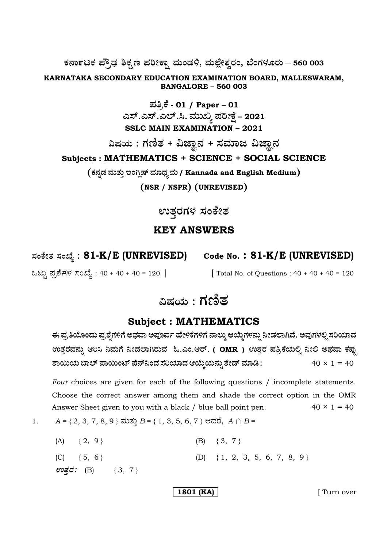ಕರ್ನಾಟಕ ಪ್ರೌಢ ಶಿಕ್ಷಣ ಪರೀಕ್ಷಾ ಮಂಡಳಿ, ಮಲ್ಲೇಶ್ವರಂ, ಬೆಂಗಳೂರು – 560 003

KARNATAKA SECONDARY EDUCATION EXAMINATION BOARD, MALLESWARAM, **BANGALORE - 560 003** 

> ಪತ್ರಿಕೆ - 01 / Paper – 01<br>ಎಸ್.ಎಸ್.ಎಲ್.ಸಿ. ಮುಖ್ಯ ಪರೀಕ್ಷೆ – 2021 **SSLC MAIN EXAMINATION - 2021**

ವಿಷಯ : ಗಣಿತ + ವಿಜ್ಞಾನ + ಸಮಾಜ ವಿಜ್ಞಾನ Subjects: MATHEMATICS + SCIENCE + SOCIAL SCIENCE

(ಕನ್ನಡ ಮತ್ತು ಇಂಗ್ಲಿಷ್ ಮಾಧ್ಯಮ / Kannada and English Medium)

(NSR / NSPR) (UNREVISED)

ಉತ್ತರಗಳ ಸಂಕೇತ

# **KEY ANSWERS**

ಸಂಕೇತ ಸಂಖ್ಯೆ : 81-K/E (UNREVISED)

ಒಟ್ಟು ಪ್ರಶೆಗಳ ಸಂಖ್ಯೆ : 40 + 40 + 40 = 120 ]

Code No.: 81-K/E (UNREVISED)

[ Total No. of Questions :  $40 + 40 + 40 = 120$ 

# ವಿಷಯ : ಗಣಿತ

# **Subject: MATHEMATICS**

ಈ ಪ್ರತಿಯೊಂದು ಪ್ರಶ್ನೆಗಳಿಗೆ ಅಥವಾ ಅಪೂರ್ವ ಹೇಳಿಕೆಗಳಿಗೆ ನಾಲ್ಕು ಆಯ್ಕೆಗಳನ್ನು ನೀಡಲಾಗಿದೆ. ಅವುಗಳಲ್ಲಿ ಸರಿಯಾದ ಉತ್ತರವನ್ನು ಆರಿಸಿ ನಿಮಗೆ ನೀಡಲಾಗಿರುವ ಓ.ಎಂ.ಆರ್. ( OMR ) ಉತ್ತರ ಪತ್ರಿಕೆಯಲ್ಲಿ ನೀಲಿ ಅಥವಾ ಕಪ್ಪು ಶಾಯಿಯ ಬಾಲ್ ಪಾಯಿಂಟ್ ಪೆನ್ನಿಂದ ಸರಿಯಾದ ಆಯ್ಕೆಯನ್ನು ಶೇಡ್ ಮಾಡಿ :  $40 \times 1 = 40$ 

Four choices are given for each of the following questions / incomplete statements. Choose the correct answer among them and shade the correct option in the OMR Answer Sheet given to you with a black / blue ball point pen.  $40 \times 1 = 40$ 

 $A = \{2, 3, 7, 8, 9\}$  ಮತ್ತು  $B = \{1, 3, 5, 6, 7\}$  ಆದರೆ,  $A \cap B =$ 1.

| (A) $\{2, 9\}$                | (B) $\{3, 7\}$                   |
|-------------------------------|----------------------------------|
| $(C) \{5, 6\}$                | (D) $\{1, 2, 3, 5, 6, 7, 8, 9\}$ |
| $\omega \vec{g}$ ರ: (B) {3,7} |                                  |

1801 (KA)

[Turn over]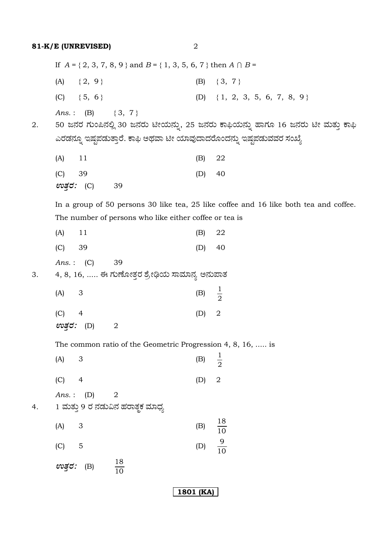If  $A = \{2, 3, 7, 8, 9\}$  and  $B = \{1, 3, 5, 6, 7\}$  then  $A \cap B =$ (A)  $\{2, 9\}$  (B)  $\{3, 7\}$ (C)  $\{5, 6\}$  (D)  $\{1, 2, 3, 5, 6, 7, 8, 9\}$ *Ans.*: (B)  $\{3, 7\}$ 2. 50 ಜನರ ಗುಂಪಿನಲ್ಲಿ 30 ಜನರು ಟೀಯನ್ನು, 25 ಜನರು ಕಾಫಿಯನ್ನು ಹಾಗೂ 16 ಜನರು ಟೀ ಮತ್ತು ಕಾಫಿ ಎರಡನ್ನೂ ಇಷ್ಟಪಡುತ್ತಾರೆ. ಕಾಫಿ ಅಥವಾ ಟೀ ಯಾವುದಾದರೊಂದನ್ನು ಇಷ್ಟಪಡುವವರ ಸಂಖ್ಯೆ (A) 11 (B) 22 (C) 39 (D) 40 *EñܤÃÜ :* (C) 39 In a group of 50 persons 30 like tea, 25 like coffee and 16 like both tea and coffee. The number of persons who like either coffee or tea is (A) 11 (B) 22 (C) 39 (D) 40 *Ans.* : (C) 39 3. 4, 8, 16, ..... ಈ ಗುಣೋತ್ತರ ಶ್ರೇಢಿಯ ಸಾಮಾನ್ಯ ಅನುಪಾತ  $(A)$  3 (B) 2 1 (C) 4 (D) 2 (C) 4<br>*ಉತ್ತರ:* (D) 2 The common ratio of the Geometric Progression 4, 8, 16, ..... is  $(A)$  3 (B) 2 1 (C) 4 (D) 2 *Ans.* : (D) 2 4. 1 ಮತ್ತು 9 ರ ನಡುವಿನ ಹರಾತ್ಮಕ ಮಾಧ್ಯ  $(A)$  3 (B) 10 18  $(C) 5$  (D) 10 9 *ಉತ್ತರ:* (B) 10 18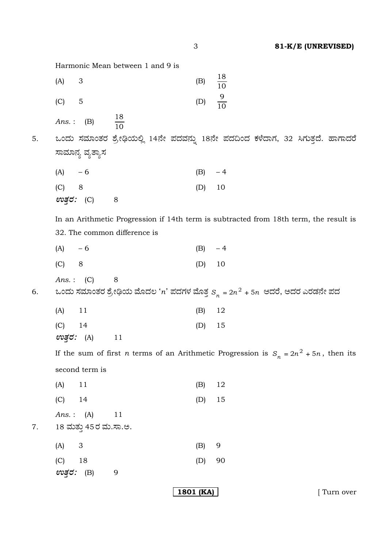Harmonic Mean between 1 and 9 is

|    | (A)        | $\ensuremath{\mathsf{3}}$ |                              | (B)      | $\frac{18}{10}$                                                                                    |
|----|------------|---------------------------|------------------------------|----------|----------------------------------------------------------------------------------------------------|
|    | (C)        | $\mathbf 5$               |                              | (D)      | $\frac{9}{10}$                                                                                     |
|    | Ans.:      | (B)                       | $\frac{18}{10}$              |          |                                                                                                    |
| 5. |            |                           |                              |          | ಒಂದು ಸಮಾಂತರ ಶ್ರೇಢಿಯಲ್ಲಿ 14ನೇ ಪದವನ್ನು 18ನೇ ಪದದಿಂದ ಕಳೆದಾಗ, 32 ಸಿಗುತ್ತದೆ. ಹಾಗಾದರೆ                     |
|    |            | ಸಾಮಾನ್ಯ ವ್ಯತ್ಯಾಸ          |                              |          |                                                                                                    |
|    | $(A) -6$   |                           |                              | $(B) -4$ |                                                                                                    |
|    | (C)        | 8                         |                              | (D)      | 10                                                                                                 |
|    | ಉತ್ತರ: (C) |                           | 8                            |          |                                                                                                    |
|    |            |                           |                              |          | In an Arithmetic Progression if 14th term is subtracted from 18th term, the result is              |
|    |            |                           | 32. The common difference is |          |                                                                                                    |
|    | $(A) - 6$  |                           |                              | (B)      | $-4$                                                                                               |
|    | (C)        | 8                         |                              | (D)      | 10                                                                                                 |
|    | Ans.:      | (C)                       | 8                            |          |                                                                                                    |
| 6. |            |                           |                              |          | ಒಂದು ಸಮಾಂತರ ಶ್ರೇಢಿಯ ಮೊದಲ ' $n$ ' ಪದಗಳ ಮೊತ್ತ $\mathrm{s}_n^{}$ = 2 $n^2$ + 5 $n$ ಆದರೆ, ಅದರ ಎರಡನೇ ಪದ |
|    | (A)        | 11                        |                              | (B)      | 12                                                                                                 |
|    | (C)        | 14                        |                              | (D)      | 15                                                                                                 |
|    | ಉತ್ತರ:     | (A)                       | 11                           |          |                                                                                                    |
|    |            |                           |                              |          | If the sum of first <i>n</i> terms of an Arithmetic Progression is $S_n = 2n^2 + 5n$ , then its    |
|    |            | second term is            |                              |          |                                                                                                    |
|    | (A)        | 11                        |                              | (B)      | 12                                                                                                 |
|    | (C)        | 14                        |                              | (D)      | 15                                                                                                 |
|    |            | Ans.: $(A)$               | 11                           |          |                                                                                                    |
| 7. |            | 18 ಮತ್ತು 45ರ ಮ.ಸಾ.ಅ.      |                              |          |                                                                                                    |
|    | (A)        | $\ensuremath{\mathsf{3}}$ |                              | (B)      | 9                                                                                                  |
|    | (C)        | 18                        |                              | (D)      | 90                                                                                                 |
|    | ಉತ್ತರ: (B) |                           | 9                            |          |                                                                                                    |

**1801 (KA)** [ Turn over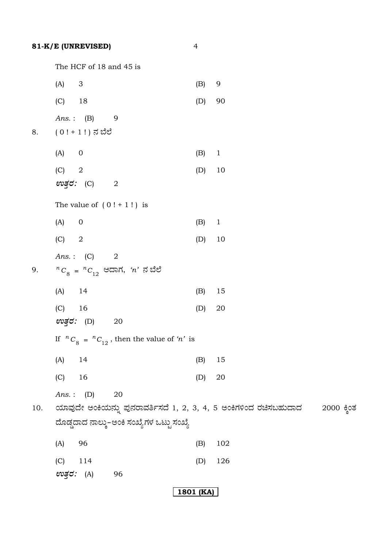The HCF of 18 and 45 is

 $\overline{4}$ 

|     | $\ensuremath{\mathsf{3}}$<br>(A) |                                                                               | (B) | 9                                                                 |             |
|-----|----------------------------------|-------------------------------------------------------------------------------|-----|-------------------------------------------------------------------|-------------|
|     | $(C)$ 18                         |                                                                               | (D) | 90                                                                |             |
|     | Ans.: $(B)$                      | 9                                                                             |     |                                                                   |             |
| 8.  | $(0! + 1!)$ ನ ಬೆಲೆ               |                                                                               |     |                                                                   |             |
|     | (A)<br>$\boldsymbol{0}$          |                                                                               | (B) | $\mathbf{1}$                                                      |             |
|     | (C)<br>$\sqrt{2}$                |                                                                               | (D) | 10                                                                |             |
|     | ಉತ್ತರ: (C)                       | $\sqrt{2}$                                                                    |     |                                                                   |             |
|     |                                  | The value of $(0! + 1!)$ is                                                   |     |                                                                   |             |
|     | (A)<br>$\boldsymbol{0}$          |                                                                               | (B) | $\mathbf{1}$                                                      |             |
|     | (C)<br>$\sqrt{2}$                |                                                                               | (D) | 10                                                                |             |
| 9.  | Ans.: $(C)$                      | $\overline{\phantom{a}}$<br>${}^{n}C_{8} = {}^{n}C_{12}$ ಆದಾಗ, ' $n$ ' ನ ಬೆಲೆ |     |                                                                   |             |
|     | (A)<br>14                        |                                                                               | (B) | 15                                                                |             |
|     | (C)<br>16                        |                                                                               | (D) | 20                                                                |             |
|     | ಉತ್ತರ: (D)                       | 20                                                                            |     |                                                                   |             |
|     |                                  | If ${}^nC_8 = {}^nC_{12}$ , then the value of 'n' is                          |     |                                                                   |             |
|     | (A)<br>14                        |                                                                               | (B) | 15                                                                |             |
|     | 16<br>(C)                        |                                                                               | (D) | 20                                                                |             |
| 10. | Ans.: $(D)$                      | 20                                                                            |     | ಯಾವುದೇ ಅಂಕಿಯನ್ನು ಪುನರಾವರ್ತಿಸದೆ 1, 2, 3, 4, 5 ಅಂಕಿಗಳಿಂದ ರಚಿಸಬಹುದಾದ | 2000 ಕ್ಲಿಂತ |
|     |                                  | ದೊಡ್ಡದಾದ ನಾಲ್ಕು–ಅಂಕಿ ಸಂಖ್ಯೆಗಳ ಒಟ್ಟು ಸಂಖ್ಯೆ                                    |     |                                                                   |             |
|     | 96<br>(A)                        |                                                                               | (B) | 102                                                               |             |
|     | (C)<br>114                       |                                                                               | (D) | 126                                                               |             |
|     | ಉತ್ತರ:<br>(A)                    | 96                                                                            |     |                                                                   |             |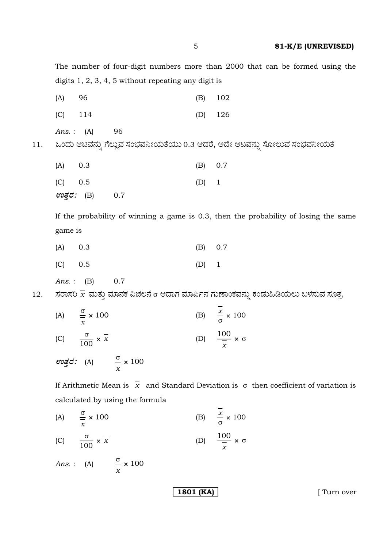The number of four-digit numbers more than 2000 that can be formed using the digits  $1, 2, 3, 4, 5$  without repeating any digit is

| (A)    | 96                | (B) | 102                                                                    |
|--------|-------------------|-----|------------------------------------------------------------------------|
| (C)    | 114               | (D) | 126                                                                    |
|        | 96<br>Ans.: $(A)$ |     | ಒಂದು ಆಟವನ್ನು ಗೆಲ್ಲುವ ಸಂಭವನೀಯತೆಯು 0.3 ಆದರೆ, ಅದೇ ಆಟವನ್ನು ಸೋಲುವ ಸಂಭವನೀಯತೆ |
| (A)    | 0.3               | (B) | 0.7                                                                    |
| (C)    | 0.5               | (D) | $\overline{\phantom{0}}$                                               |
| ಉತ್ತರ: | (B)<br>0.7        |     |                                                                        |

If the probability of winning a game is 0.3, then the probability of losing the same game is

| $(A)$ 0.3 | (B) 0.7 |  |
|-----------|---------|--|
| (C) 0.5   | $(D)$ 1 |  |

$$
Ans.: \quad (B) \qquad 0.7
$$

11.

ಸರಾಸರಿ  $\overline{\mathbf{x}}$  ಮತ್ತು ಮಾನಕ ವಿಚಲನೆ  $\mathtt{\sigma}$  ಆದಾಗ ಮಾರ್ಪಿನ ಗುಣಾಂಕವನ್ನು ಕಂಡುಹಿಡಿಯಲು ಬಳಸುವ ಸೂತ್ರ 12.

(B)  $\frac{x}{\sigma} \times 100$ (A)  $\frac{\sigma}{r} \times 100$ (D)  $\frac{100}{\overline{v}} \times \sigma$ (C)  $\frac{\sigma}{100} \times \overline{x}$ 

evgc: (A)  $\frac{\sigma}{\sigma} \times 100$ 

If Arithmetic Mean is  $\overline{x}$  and Standard Deviation is  $\sigma$  then coefficient of variation is calculated by using the formula

(B)  $\frac{x}{\sigma} \times 100$ (A)  $\frac{\sigma}{r} \times 100$ (D)  $\frac{100}{r} \times \sigma$ (C)  $\frac{\sigma}{100} \times \overline{x}$ Ans.: (A)  $\frac{\sigma}{r} \times 100$ 

1801 (KA)

[ Turn over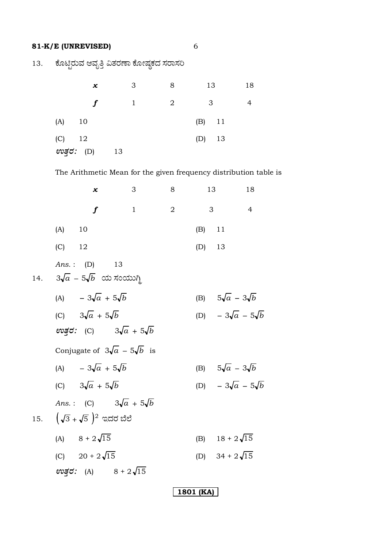13. ಕೊಟ್ಟಿರುವ ಆವೃತ್ತಿ ವಿತರಣಾ ಕೋಷ್ಠಕದ ಸರಾಸರಿ

| x          | 3              | 8 | 13             | 18 |
|------------|----------------|---|----------------|----|
|            | $\overline{1}$ | 2 | $\overline{3}$ |    |
| $(A)$ 10   |                |   | $(B)$ 11       |    |
| $(C)$ 12   |                |   | $(D)$ 13       |    |
| ಉತ್ತರ: (D) | 13             |   |                |    |

The Arithmetic Mean for the given frequency distribution table is

|          | x                                                                | 3                                         | 8              |          | 13                           | 18             |
|----------|------------------------------------------------------------------|-------------------------------------------|----------------|----------|------------------------------|----------------|
|          | $\boldsymbol{f}$                                                 | $\mathbf{1}$                              | $\overline{2}$ |          | 3                            | $\overline{4}$ |
| $(A)$ 10 |                                                                  |                                           |                | $(B)$ 11 |                              |                |
| $(C)$ 12 |                                                                  |                                           |                | $(D)$ 13 |                              |                |
|          | <i>Ans.</i> : (D) 13<br>14. $3\sqrt{a}$ – $5\sqrt{b}$ ಯ ಸಂಯುಗ್ಧಿ |                                           |                |          |                              |                |
|          | (A) $-3\sqrt{a} + 5\sqrt{b}$                                     |                                           |                |          | (B) $5\sqrt{a} - 3\sqrt{b}$  |                |
|          | (C) $3\sqrt{a} + 5\sqrt{b}$                                      |                                           |                |          | (D) $-3\sqrt{a} - 5\sqrt{b}$ |                |
|          |                                                                  | evತ್ತರ: (C) $3\sqrt{a} + 5\sqrt{b}$       |                |          |                              |                |
|          |                                                                  | Conjugate of $3\sqrt{a}$ – $5\sqrt{b}$ is |                |          |                              |                |
|          | (A) $-3\sqrt{a} + 5\sqrt{b}$                                     |                                           |                |          | (B) $5\sqrt{a} - 3\sqrt{b}$  |                |
|          | (C) $3\sqrt{a} + 5\sqrt{b}$                                      |                                           |                |          | (D) $-3\sqrt{a} - 5\sqrt{b}$ |                |
|          |                                                                  | Ans.: (C) $3\sqrt{a} + 5\sqrt{b}$         |                |          |                              |                |
|          | 15. $(\sqrt{3} + \sqrt{5})^2$ ಇದರ ಬೆಲೆ                           |                                           |                |          |                              |                |
|          | (A) $8 + 2\sqrt{15}$                                             |                                           |                |          | (B) $18 + 2\sqrt{15}$        |                |
|          | (C) $20 + 2\sqrt{15}$                                            |                                           |                |          | (D) $34 + 2\sqrt{15}$        |                |
|          |                                                                  | ev $\vec{z}$ : (A) $8 + 2\sqrt{15}$       |                |          |                              |                |
|          |                                                                  |                                           |                |          |                              |                |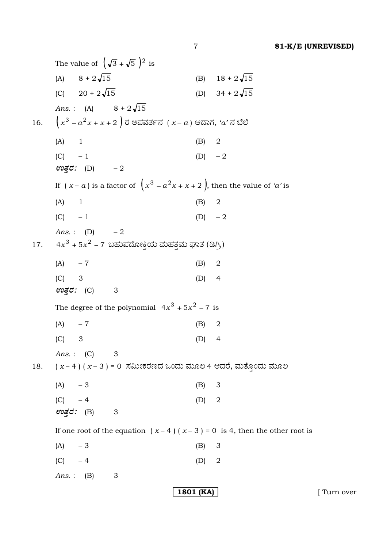The value of  $(\sqrt{3} + \sqrt{5})^2$  is (A)  $8 + 2\sqrt{15}$ (B)  $18 + 2\sqrt{15}$ (C)  $20 + 2\sqrt{15}$ (D)  $34 + 2\sqrt{15}$ *Ans.*: (A)  $8 + 2\sqrt{15}$  $\left(x^3 - a^2x + x + 2\right)$ ರ ಅಪವರ್ತನ  $(x - a)$  ಆದಾಗ, ' $a$ ' ನ ಬೆಲೆ 16.  $(A)$  $(B)$ 2  $\overline{1}$  $(D) -2$  $(C) - 1$  $\omega \vec{\mathcal{z}}$  (D)  $-2$ If  $(x - a)$  is a factor of  $\left(x^3 - a^2x + x + 2\right)$ , then the value of 'a' is  $(A)$  1  $(B)$  $\boldsymbol{2}$  $(C) - 1$ (D)  $-2$ *Ans.*: (D)  $-2$  $4x^3 + 5x^2 - 7$  ಬಹುಪದೋಕ್ತಿಯ ಮಹತ್ತಮ ಘಾತ (ಡಿಗ್ರಿ) 17.  $(A) -7$  $(B)$  $\overline{2}$  $(C)$ 3  $(D)$  4 ಉತ್*ರ:* (C)  $\overline{\phantom{a}}$ The degree of the polynomial  $4x^3 + 5x^2 - 7$  is  $(A)$  $-7$  $(B)$  $\overline{2}$  $(C)$  $\mathcal{S}$  $(D)$  4 Ans.:  $(C)$ 3  $(x-4)(x-3) = 0$  ಸಮೀಕರಣದ ಒಂದು ಮೂಲ 4 ಆದರೆ, ಮತ್ತೊಂದು ಮೂಲ 18.  $-3$  $(A)$  $(B)$  $\mathfrak{S}$  $(C) -4$ 2  $(D)$ ಉತ್ತರ: (B) 3 If one root of the equation  $(x-4)(x-3) = 0$  is 4, then the other root is  $(A)$  $-3$  $(B)$ 3  $(D)$  $(C)$  $-4$  $\overline{2}$  $Ans.:$  (B) 3 1801 (KA)

[ Turn over

 $\overline{7}$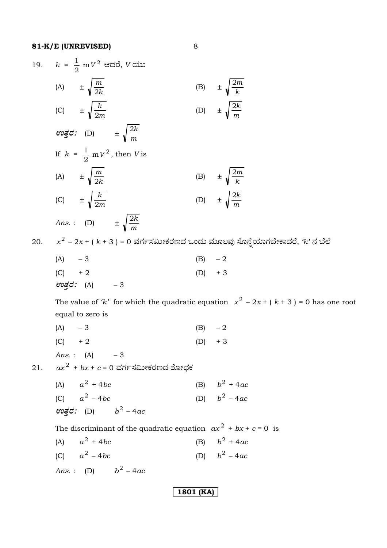$\boldsymbol{8}$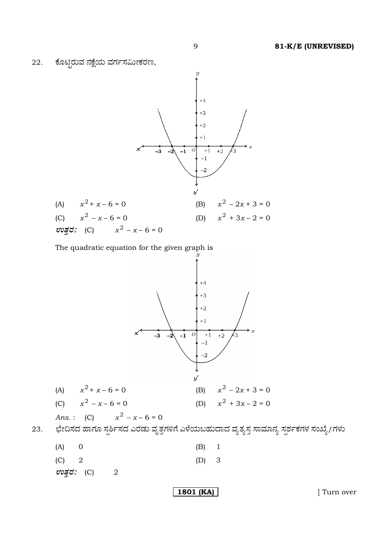



 $(A)$  $\mathbf 0$  $(B)$  $\mathbf 1$  $(C)$  $\overline{2}$ 3  $(D)$ 

ಉತ್ತರ: (C)  $\overline{2}$ 

23.

1801 (KA)

[ Turn over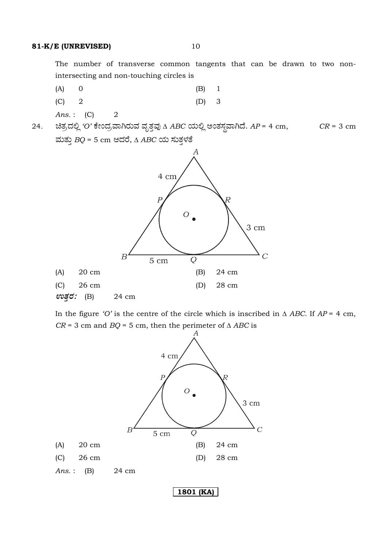The number of transverse common tangents that can be drawn to two nonintersecting and non-touching circles is

3

- $(A)$  $\boldsymbol{0}$  $(B)$  $\mathbf{1}$
- $\overline{2}$  $(C)$  $(D)$
- Ans.:  $(C)$  $\overline{2}$
- ಚಿತ್ರದಲ್ಲಿ 'O' ಕೇಂದ್ರವಾಗಿರುವ ವೃತ್ತವು ∆ ABC ಯಲ್ಲಿ ಅಂತಸ್ಥವಾಗಿದೆ. AP = 4 cm, 24.  $CR = 3$  cm ಮತ್ತು  $BQ = 5$  cm ಆದರೆ,  $\triangle ABC$  ಯ ಸುತ್ತಳತೆ



In the figure 'O' is the centre of the circle which is inscribed in  $\triangle$  ABC. If AP = 4 cm,  $CR = 3$  cm and  $BQ = 5$  cm, then the perimeter of  $\triangle ABC$  is

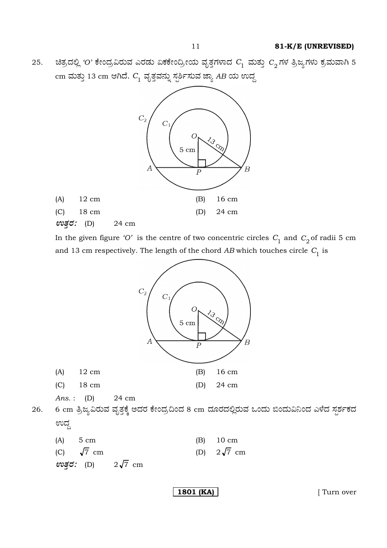25. ಚಿತ್ರದಲ್ಲಿ 'O' ಕೇಂದ್ರವಿರುವ ಎರಡು ಏಕಕೇಂದ್ರೀಯ ವೃತ್ತಗಳಾದ  $\emph{C}_{1}$  ಮತ್ತು  $\emph{C}_{2}$ ಗಳ ತ್ರಿಜ್ಯಗಳು ಕ್ರಮವಾಗಿ 5 cm ಮತ್ತು 13 cm ಆಗಿದೆ.  $C_{\rm 1}$  ವೃತ್ತವನ್ನು ಸ್ಪರ್ಶಿಸುವ ಜ್ಯಾ *AB* ಯ ಉದ್ದ



In the given figure *'O'* is the centre of two concentric circles  $C_1$  and  $C_2$  of radii 5 cm and 13 cm respectively. The length of the chord  $AB$  which touches circle  $C_1$  is



 $\omega$ ø $\vec{c}$ *:* (D)  $2\sqrt{7}$  cm

**1801 (KA) [** Turn over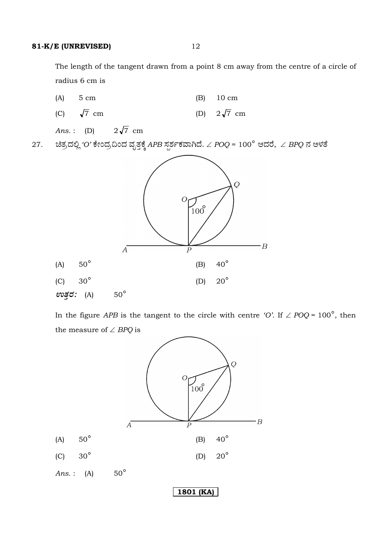The length of the tangent drawn from a point 8 cm away from the centre of a circle of radius 6 cm is



 In the figure *APB* is the tangent to the circle with centre *'O'*. If ∠ *POQ* = 100°, then the measure of ∠ *BPQ* is

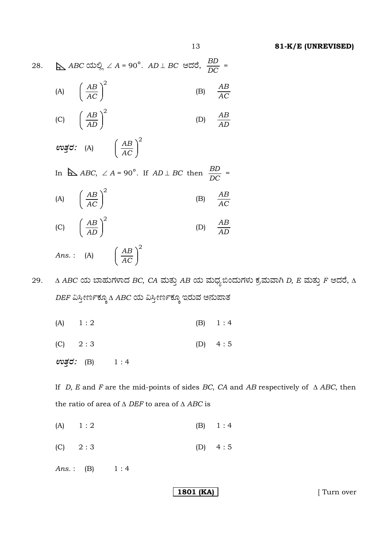$\Delta ABC$  ಯಲ್ಲಿ  $\angle A = 90^\circ$ .  $AD \perp BC$  ಆದರೆ,  $\frac{BD}{DC}$ 28. (A)  $\left(\frac{AB}{AC}\right)^2$  $\frac{AB}{AC}$  $(B)$ (C)  $\left(\frac{AB}{AD}\right)^2$ (D)  $\frac{AB}{AD}$  $\omega$  g  $\sigma$ : (A)  $\left(\frac{AB}{AC}\right)^2$ In  $\Delta ABC$ ,  $\angle A = 90^\circ$ . If  $AD \perp BC$  then  $\frac{BD}{DC}$  = (A)  $\left(\frac{AB}{AC}\right)^2$  $\frac{AB}{AC}$  $(B)$ 

- (C)  $\left(\frac{AB}{AD}\right)^2$ (D)  $\frac{AB}{AD}$ Ans.: (A)  $\left(\frac{AB}{AC}\right)^2$
- $\Delta$  ABC ಯ ಬಾಹುಗಳಾದ BC, CA ಮತ್ತು AB ಯ ಮಧ್ಯಬಿಂದುಗಳು ಕ್ರಮವಾಗಿ D, E ಮತ್ತು F ಆದರೆ,  $\Delta$ 29. DEF ವಿಸ್ತೀರ್ಣಕ್ಕೂ A ABC ಯ ವಿಸ್ತೀರ್ಣಕ್ಕೂ ಇರುವ ಅನುಪಾತ
	- $(A)$  $1:2$  $1:4$  $(B)$
	- $(C)$  $2:3$  $(D)$  $4:5$

ಉತ್ತರ: (B)  $1:4$ 

If *D*, *E* and *F* are the mid-points of sides *BC*, *CA* and *AB* respectively of  $\triangle$  *ABC*, then the ratio of area of  $\triangle$  DEF to area of  $\triangle$  ABC is

- $(A)$  $1:2$  $(B)$  $1:4$
- $(C)$  $2:3$  $(D)$  $4:5$

 $Ans.$ :  $(B)$  $1:4$ 

1801 (KA)

[ Turn over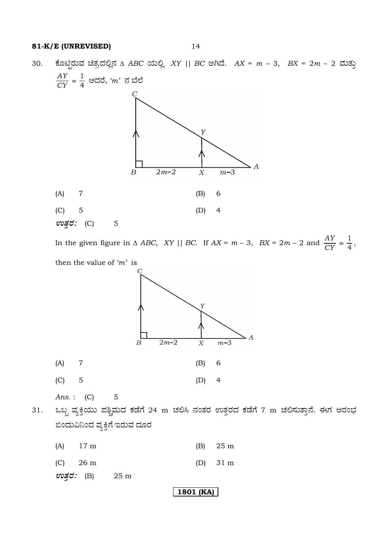ಕೊಟ್ಟಿರುವ ಚಿತ್ರದಲ್ಲಿನ  $\triangle$  ABC ಯಲ್ಲಿ XY || BC ಆಗಿದೆ. AX = m - 3, BX = 2m - 2 ಮತ್ತು 30.



In the given figure in  $\triangle ABC$ , XY || BC. If  $AX = m - 3$ ,  $BX = 2m - 2$  and  $\frac{AY}{CY} = \frac{1}{4}$ , then the value of ' $m$ ' is



ಒಬ್ಬ ವ್ಯಕ್ತಿಯು ಪಶ್ಚಿಮದ ಕಡೆಗೆ 24 m ಚಲಿಸಿ ನಂತರ ಉತ್ತರದ ಕಡೆಗೆ 7 m ಚಲಿಸುತ್ತಾನೆ. ಈಗ ಆರಂಭ 31. ಬಿಂದುವಿನಿಂದ ವ್ಯಕ್ತಿಗೆ ಇರುವ ದೂರ

| $(A)$ 17 m | $(B)$ 25 m         |
|------------|--------------------|
| $(C)$ 26 m | (D) $31 \text{ m}$ |

ಉತ್ತರ: (B)  $25<sub>m</sub>$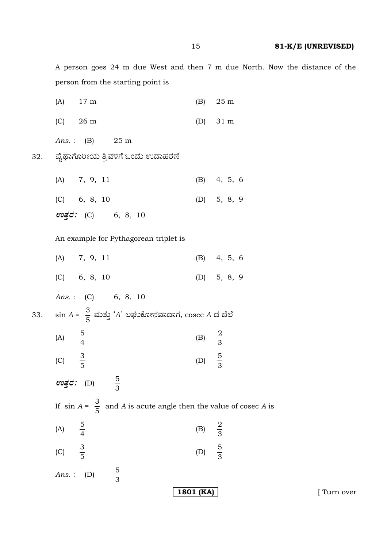A person goes 24 m due West and then 7 m due North. Now the distance of the person from the starting point is

|                   | $(A)$ 17 m                            |                                                                             |                   | $(B)$ 25 m         |
|-------------------|---------------------------------------|-----------------------------------------------------------------------------|-------------------|--------------------|
|                   | $(C)$ 26 m                            |                                                                             |                   | (D) $31 \text{ m}$ |
|                   | <i>Ans.</i> : (B) 25 m                |                                                                             |                   |                    |
|                   |                                       | ಪೈಥಾಗೊರೀಯ ತ್ರಿವಳಿಗೆ ಒಂದು ಉದಾಹರಣೆ                                            |                   |                    |
|                   | (A) 7, 9, 11                          |                                                                             |                   | (B) 4, 5, 6        |
|                   | $(C)$ 6, 8, 10                        |                                                                             |                   | (D) $5, 8, 9$      |
|                   |                                       | ಉತ್ತರ: (C) 6, 8, 10                                                         |                   |                    |
|                   |                                       | An example for Pythagorean triplet is                                       |                   |                    |
|                   | (A) 7, 9, 11                          |                                                                             |                   | (B) 4, 5, 6        |
|                   | $(C)$ 6, 8, 10                        |                                                                             |                   | (D) $5, 8, 9$      |
|                   |                                       | Ans.: (C) 6, 8, 10                                                          |                   |                    |
|                   |                                       | $\sin A = \frac{3}{5}$ ಮತ್ತು 'A' ಲಘುಕೋನವಾದಾಗ, $\csc A$ ದ ಬೆಲೆ               |                   |                    |
| (A) $\frac{5}{4}$ |                                       |                                                                             | (B) $\frac{2}{3}$ |                    |
| (C) $\frac{3}{5}$ |                                       |                                                                             | (D) $\frac{5}{3}$ |                    |
|                   | $\omega \vec{g}$ d: (D) $\frac{5}{3}$ |                                                                             |                   |                    |
|                   |                                       | If $\sin A = \frac{3}{5}$ and A is acute angle then the value of cosec A is |                   |                    |
| (A)               | $rac{5}{4}$                           |                                                                             | (B) $\frac{2}{3}$ |                    |
| (C) $\frac{3}{5}$ |                                       |                                                                             | (D) $\frac{5}{3}$ |                    |
|                   | Ans.: $(D)$                           | $rac{5}{3}$                                                                 |                   |                    |
|                   |                                       |                                                                             | 1801 (KA)         |                    |

32.

33.

[ Turn over

15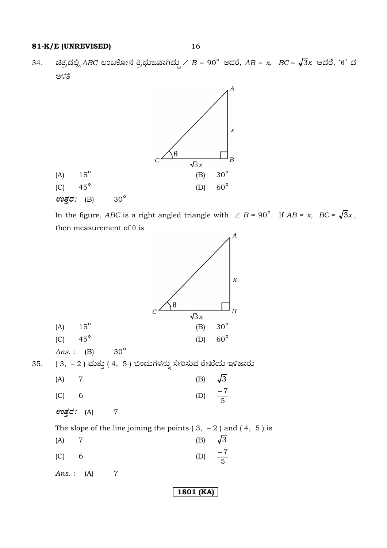ಚಿತ್ರದಲ್ಲಿ ABC ಲಂಬಕೋನ ತ್ರಿಭುಜವಾಗಿದ್ದು  $\angle$  B = 90° ಆದರೆ, AB = x, BC =  $\sqrt{3}x$  ಆದರೆ, ' $\theta$ ' ದ 34. ಅಳತೆ



In the figure, ABC is a right angled triangle with  $\angle B = 90^{\circ}$ . If AB = x, BC =  $\sqrt{3}x$ , then measurement of  $\theta$  is

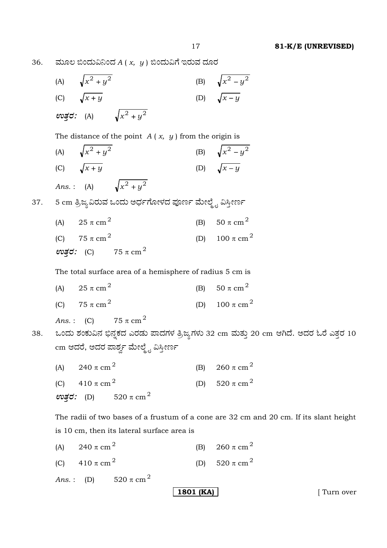36. ಹುೂಲ ಬಿಂದುವಿನಿಂದ  $A(x, y)$  ಬಿಂದುವಿಗೆ ಇರುವ ದೂರ

(A) 
$$
\sqrt{x^2 + y^2}
$$
 (B)  $\sqrt{x^2 - y^2}$   
\n(C)  $\sqrt{x + y}$  (D)  $\sqrt{x - y}$   
\n $\cos \theta$ : (A)  $\sqrt{x^2 + y^2}$   
\nThe distance of the point A (x, y) from the origin is  
\n(A)  $\sqrt{x^2 + y^2}$  (B)  $\sqrt{x^2 - y^2}$   
\n(C)  $\sqrt{x + y}$  (D)  $\sqrt{x - y}$   
\nAns. : (A)  $\sqrt{x^2 + y^2}$   
\n37. 5 cm  $\frac{3}{2}$  kg<sub>0</sub> d/dx and  $\cot \theta$  of  $\theta$  for  $\sin \theta$  of  $\theta$  of  $\theta$  of  $\theta$  of  $\theta$  of  $\theta$  of  $\theta$  of  $\theta$  of  $\theta$  of  $\theta$  of  $\theta$  of  $\theta$  of  $\theta$  of  $\theta$  of  $\theta$  of  $\theta$  of  $\theta$  of  $\theta$  of  $\theta$  of  $\theta$  of  $\theta$  of  $\theta$  of  $\theta$  of  $\theta$  of  $\theta$  of  $\theta$  of  $\theta$  of  $\theta$  of  $\theta$  of  $\theta$  of  $\theta$  of  $\theta$  of  $\theta$  of  $\theta$  of  $\theta$  of  $\theta$  of  $\theta$  of  $\theta$  of  $\theta$  of  $\theta$  of  $\theta$  of  $\theta$  of  $\theta$  of  $\theta$  of  $\theta$  of  $\theta$  of  $\theta$  of  $\theta$  of  $\theta$  of  $\theta$  of  $\theta$  of  $\theta$  of  $\theta$  of  $\theta$  of  $\theta$  of  $\theta$  of  $\theta$  of  $\theta$  of  $\theta$  of  $\theta$  of  $\theta$  of  $\theta$  of  $\theta$  of  $\theta$  of  $\theta$ 

(A)  $240 \pi \text{ cm}^2$ (B) 260  $\pi$  cm<sup>2</sup> (C)  $410 \pi \text{ cm}^2$ (D) 520  $\pi$  cm<sup>2</sup>

*Ans.*: (D)  $520 \pi \text{ cm}^2$ 

**1801 (KA)** [ Turn over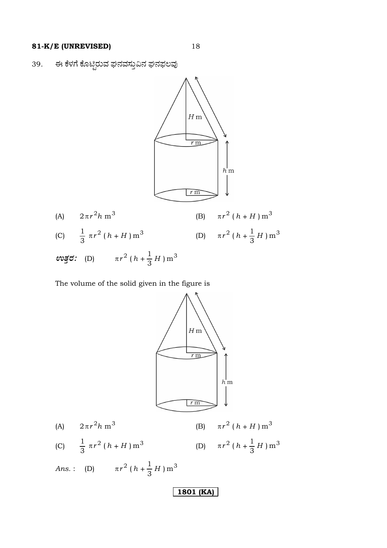ಈ ಕೆಳಗೆ ಕೊಟ್ಟಿರುವ ಘನವಸ್ತುವಿನ ಘನಫಲವು 39.



The volume of the solid given in the figure is